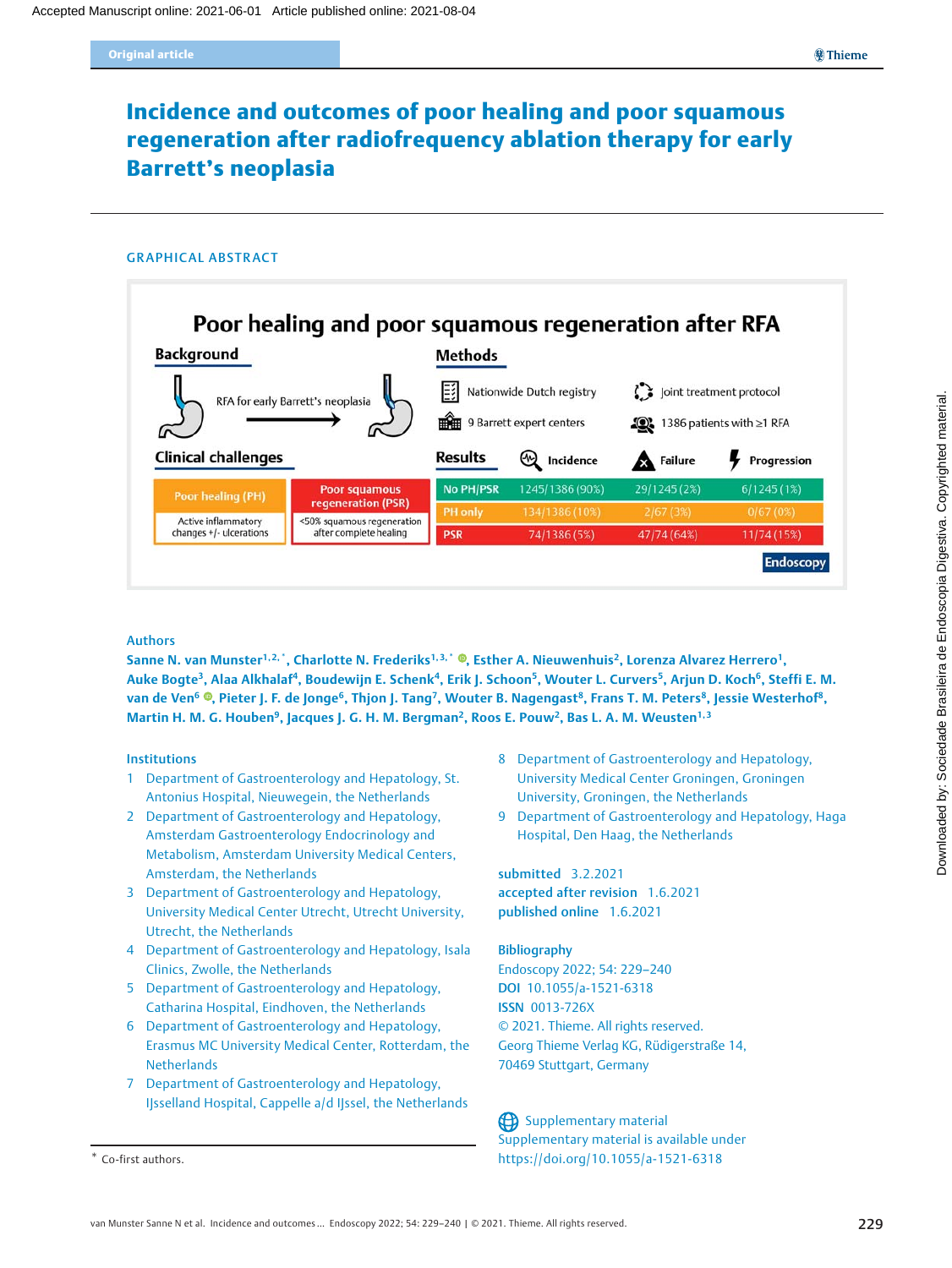# Incidence and outcomes of poor healing and poor squamous regeneration after radiofrequency ablation therapy for early Barrett's neoplasia

#### GRAPHICAL ABSTRACT



### Authors

Sanne N. van Munster<sup>1[,](https://orcid.org/0000-0001-7903-1253) 2, \*</sup>, Charlotte N. Frederiks<sup>1, 3, \*</sup> ®, Esther A. Nieuwenhuis<sup>2</sup>, Lorenza Alvarez Herrero<sup>1</sup>, Auke Bogte<sup>3</sup>, Alaa Alkhalaf<sup>4</sup>, Boudewijn E. Schenk<sup>4</sup>, Erik J. Schoon<sup>5</sup>, Wouter L. Curvers<sup>5</sup>, Arjun D. Koch<sup>6</sup>, Steffi E. M. van de Ven<sup>6</sup> ®[,](https://orcid.org/0000-0001-9793-0957) Pieter J. F. de Jonge<sup>6</sup>, Thjon J. Tang<sup>7</sup>, Wouter B. Nagengast<sup>8</sup>, Frans T. M. Peters<sup>8</sup>, Jessie Westerhof<sup>8</sup>, Martin H. M. G. Houben<sup>9</sup>, Jacques J. G. H. M. Bergman<sup>2</sup>, Roos E. Pouw<sup>2</sup>, Bas L. A. M. Weusten<sup>1,3</sup>

#### Institutions

- 1 Department of Gastroenterology and Hepatology, St. Antonius Hospital, Nieuwegein, the Netherlands
- 2 Department of Gastroenterology and Hepatology, Amsterdam Gastroenterology Endocrinology and Metabolism, Amsterdam University Medical Centers, Amsterdam, the Netherlands
- 3 Department of Gastroenterology and Hepatology, University Medical Center Utrecht, Utrecht University, Utrecht, the Netherlands
- 4 Department of Gastroenterology and Hepatology, Isala Clinics, Zwolle, the Netherlands
- 5 Department of Gastroenterology and Hepatology, Catharina Hospital, Eindhoven, the Netherlands
- 6 Department of Gastroenterology and Hepatology, Erasmus MC University Medical Center, Rotterdam, the **Netherlands**
- 7 Department of Gastroenterology and Hepatology, IJsselland Hospital, Cappelle a/d IJssel, the Netherlands

- 8 Department of Gastroenterology and Hepatology, University Medical Center Groningen, Groningen University, Groningen, the Netherlands
- 9 Department of Gastroenterology and Hepatology, Haga Hospital, Den Haag, the Netherlands

submitted 3.2.2021 accepted after revision 1.6.2021 published online 1.6.2021

#### Bibliography

Endoscopy 2022; 54: 229–240 DOI 10.1055/a-1521-6318 ISSN 0013-726X © 2021. Thieme. All rights reserved. Georg Thieme Verlag KG, Rüdigerstraße 14, 70469 Stuttgart, Germany

Supplementary material Supplementary material is available under \* Co-first authors. https://doi.org/10.1055/a-1521-6318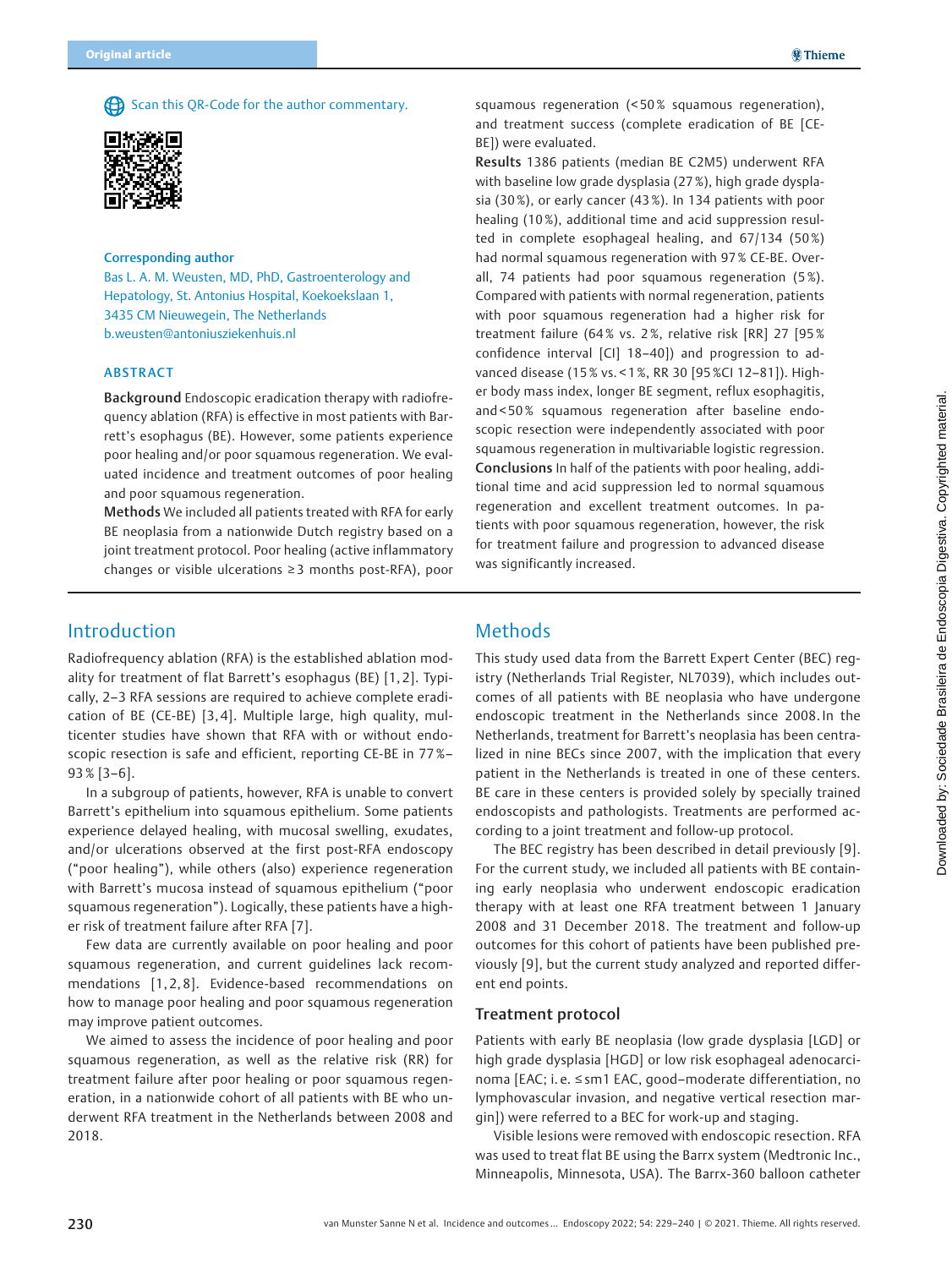Scan this QR-Code for the author commentary.



### Corresponding author

Bas L. A. M. Weusten, MD, PhD, Gastroenterology and Hepatology, St. Antonius Hospital, Koekoekslaan 1, 3435 CM Nieuwegein, The Netherlands b.weusten@antoniusziekenhuis.nl

### ABSTRACT

Background Endoscopic eradication therapy with radiofrequency ablation (RFA) is effective in most patients with Barrett's esophagus (BE). However, some patients experience poor healing and/or poor squamous regeneration. We evaluated incidence and treatment outcomes of poor healing and poor squamous regeneration.

Methods We included all patients treated with RFA for early BE neoplasia from a nationwide Dutch registry based on a joint treatment protocol. Poor healing (active inflammatory changes or visible ulcerations ≥ 3 months post-RFA), poor

squamous regeneration (< 50 % squamous regeneration), and treatment success (complete eradication of BE [CE-BE]) were evaluated.

Results 1386 patients (median BE C2M5) underwent RFA with baseline low grade dysplasia (27 %), high grade dysplasia (30 %), or early cancer (43 %). In 134 patients with poor healing (10 %), additional time and acid suppression resulted in complete esophageal healing, and 67/134 (50%) had normal squamous regeneration with 97 % CE-BE. Overall, 74 patients had poor squamous regeneration (5 %). Compared with patients with normal regeneration, patients with poor squamous regeneration had a higher risk for treatment failure (64% vs. 2%, relative risk [RR] 27 [95% confidence interval [CI] 18–40]) and progression to advanced disease (15 % vs. < 1 %, RR 30 [95 %CI 12–81]). Higher body mass index, longer BE segment, reflux esophagitis, and < 50 % squamous regeneration after baseline endoscopic resection were independently associated with poor squamous regeneration in multivariable logistic regression. Conclusions In half of the patients with poor healing, additional time and acid suppression led to normal squamous regeneration and excellent treatment outcomes. In patients with poor squamous regeneration, however, the risk for treatment failure and progression to advanced disease was significantly increased.

# Introduction

Radiofrequency ablation (RFA) is the established ablation modality for treatment of flat Barrett's esophagus (BE) [1, 2]. Typically, 2–3 RFA sessions are required to achieve complete eradication of BE (CE-BE) [3, 4]. Multiple large, high quality, multicenter studies have shown that RFA with or without endoscopic resection is safe and efficient, reporting CE-BE in 77 %– 93 % [3–6].

In a subgroup of patients, however, RFA is unable to convert Barrett's epithelium into squamous epithelium. Some patients experience delayed healing, with mucosal swelling, exudates, and/or ulcerations observed at the first post-RFA endoscopy ("poor healing"), while others (also) experience regeneration with Barrett's mucosa instead of squamous epithelium ("poor squamous regeneration"). Logically, these patients have a higher risk of treatment failure after RFA [7].

Few data are currently available on poor healing and poor squamous regeneration, and current guidelines lack recommendations [1, 2, 8]. Evidence-based recommendations on how to manage poor healing and poor squamous regeneration may improve patient outcomes.

We aimed to assess the incidence of poor healing and poor squamous regeneration, as well as the relative risk (RR) for treatment failure after poor healing or poor squamous regeneration, in a nationwide cohort of all patients with BE who underwent RFA treatment in the Netherlands between 2008 and 2018.

# Methods

This study used data from the Barrett Expert Center (BEC) registry (Netherlands Trial Register, NL7039), which includes outcomes of all patients with BE neoplasia who have undergone endoscopic treatment in the Netherlands since 2008. In the Netherlands, treatment for Barrett's neoplasia has been centralized in nine BECs since 2007, with the implication that every patient in the Netherlands is treated in one of these centers. BE care in these centers is provided solely by specially trained endoscopists and pathologists. Treatments are performed according to a joint treatment and follow-up protocol.

The BEC registry has been described in detail previously [9]. For the current study, we included all patients with BE containing early neoplasia who underwent endoscopic eradication therapy with at least one RFA treatment between 1 January 2008 and 31 December 2018. The treatment and follow-up outcomes for this cohort of patients have been published previously [9], but the current study analyzed and reported different end points.

### Treatment protocol

Patients with early BE neoplasia (low grade dysplasia [LGD] or high grade dysplasia [HGD] or low risk esophageal adenocarcinoma [EAC; i. e. ≤ sm1 EAC, good–moderate differentiation, no lymphovascular invasion, and negative vertical resection margin]) were referred to a BEC for work-up and staging.

Visible lesions were removed with endoscopic resection. RFA was used to treat flat BE using the Barrx system (Medtronic Inc., Minneapolis, Minnesota, USA). The Barrx-360 balloon catheter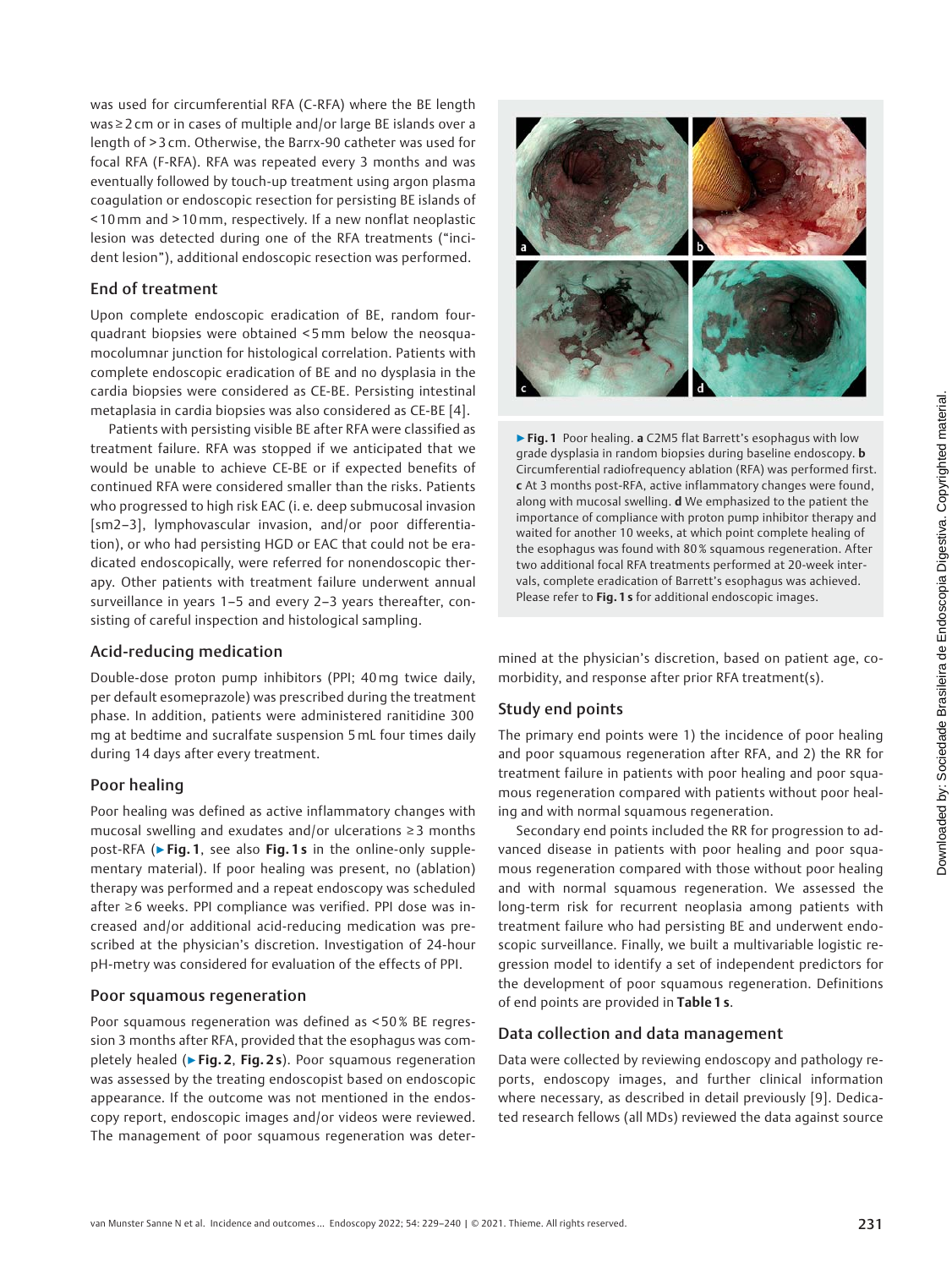was used for circumferential RFA (C-RFA) where the BE length was ≥ 2 cm or in cases of multiple and/or large BE islands over a length of > 3 cm. Otherwise, the Barrx-90 catheter was used for focal RFA (F-RFA). RFA was repeated every 3 months and was eventually followed by touch-up treatment using argon plasma coagulation or endoscopic resection for persisting BE islands of < 10 mm and > 10 mm, respectively. If a new nonflat neoplastic lesion was detected during one of the RFA treatments ("incident lesion"), additional endoscopic resection was performed.

### End of treatment

Upon complete endoscopic eradication of BE, random fourquadrant biopsies were obtained < 5mm below the neosquamocolumnar junction for histological correlation. Patients with complete endoscopic eradication of BE and no dysplasia in the cardia biopsies were considered as CE-BE. Persisting intestinal metaplasia in cardia biopsies was also considered as CE-BE [4].

Patients with persisting visible BE after RFA were classified as treatment failure. RFA was stopped if we anticipated that we would be unable to achieve CE-BE or if expected benefits of continued RFA were considered smaller than the risks. Patients who progressed to high risk EAC (i. e. deep submucosal invasion [sm2–3], lymphovascular invasion, and/or poor differentiation), or who had persisting HGD or EAC that could not be eradicated endoscopically, were referred for nonendoscopic therapy. Other patients with treatment failure underwent annual surveillance in years 1–5 and every 2–3 years thereafter, consisting of careful inspection and histological sampling.

### Acid-reducing medication

Double-dose proton pump inhibitors (PPI; 40 mg twice daily, per default esomeprazole) was prescribed during the treatment phase. In addition, patients were administered ranitidine 300 mg at bedtime and sucralfate suspension 5mL four times daily during 14 days after every treatment.

### Poor healing

Poor healing was defined as active inflammatory changes with mucosal swelling and exudates and/or ulcerations ≥ 3 months post-RFA (► Fig. 1, see also Fig. 1s in the online-only supplementary material). If poor healing was present, no (ablation) therapy was performed and a repeat endoscopy was scheduled after ≥ 6 weeks. PPI compliance was verified. PPI dose was increased and/or additional acid-reducing medication was prescribed at the physician's discretion. Investigation of 24-hour pH-metry was considered for evaluation of the effects of PPI.

### Poor squamous regeneration

Poor squamous regeneration was defined as < 50 % BE regression 3 months after RFA, provided that the esophagus was completely healed (► Fig. 2, Fig. 2s). Poor squamous regeneration was assessed by the treating endoscopist based on endoscopic appearance. If the outcome was not mentioned in the endoscopy report, endoscopic images and/or videos were reviewed. The management of poor squamous regeneration was deter-



▶ Fig. 1 Poor healing. a C2M5 flat Barrett's esophagus with low grade dysplasia in random biopsies during baseline endoscopy. **b** Circumferential radiofrequency ablation (RFA) was performed first. c At 3 months post-RFA, active inflammatory changes were found, along with mucosal swelling. d We emphasized to the patient the importance of compliance with proton pump inhibitor therapy and waited for another 10 weeks, at which point complete healing of the esophagus was found with 80 % squamous regeneration. After two additional focal RFA treatments performed at 20-week intervals, complete eradication of Barrett's esophagus was achieved. Please refer to Fig. 1 s for additional endoscopic images.

mined at the physician's discretion, based on patient age, comorbidity, and response after prior RFA treatment(s).

# Study end points

The primary end points were 1) the incidence of poor healing and poor squamous regeneration after RFA, and 2) the RR for treatment failure in patients with poor healing and poor squamous regeneration compared with patients without poor healing and with normal squamous regeneration.

Secondary end points included the RR for progression to advanced disease in patients with poor healing and poor squamous regeneration compared with those without poor healing and with normal squamous regeneration. We assessed the long-term risk for recurrent neoplasia among patients with treatment failure who had persisting BE and underwent endoscopic surveillance. Finally, we built a multivariable logistic regression model to identify a set of independent predictors for the development of poor squamous regeneration. Definitions of end points are provided in Table 1 s.

### Data collection and data management

Data were collected by reviewing endoscopy and pathology reports, endoscopy images, and further clinical information where necessary, as described in detail previously [9]. Dedicated research fellows (all MDs) reviewed the data against source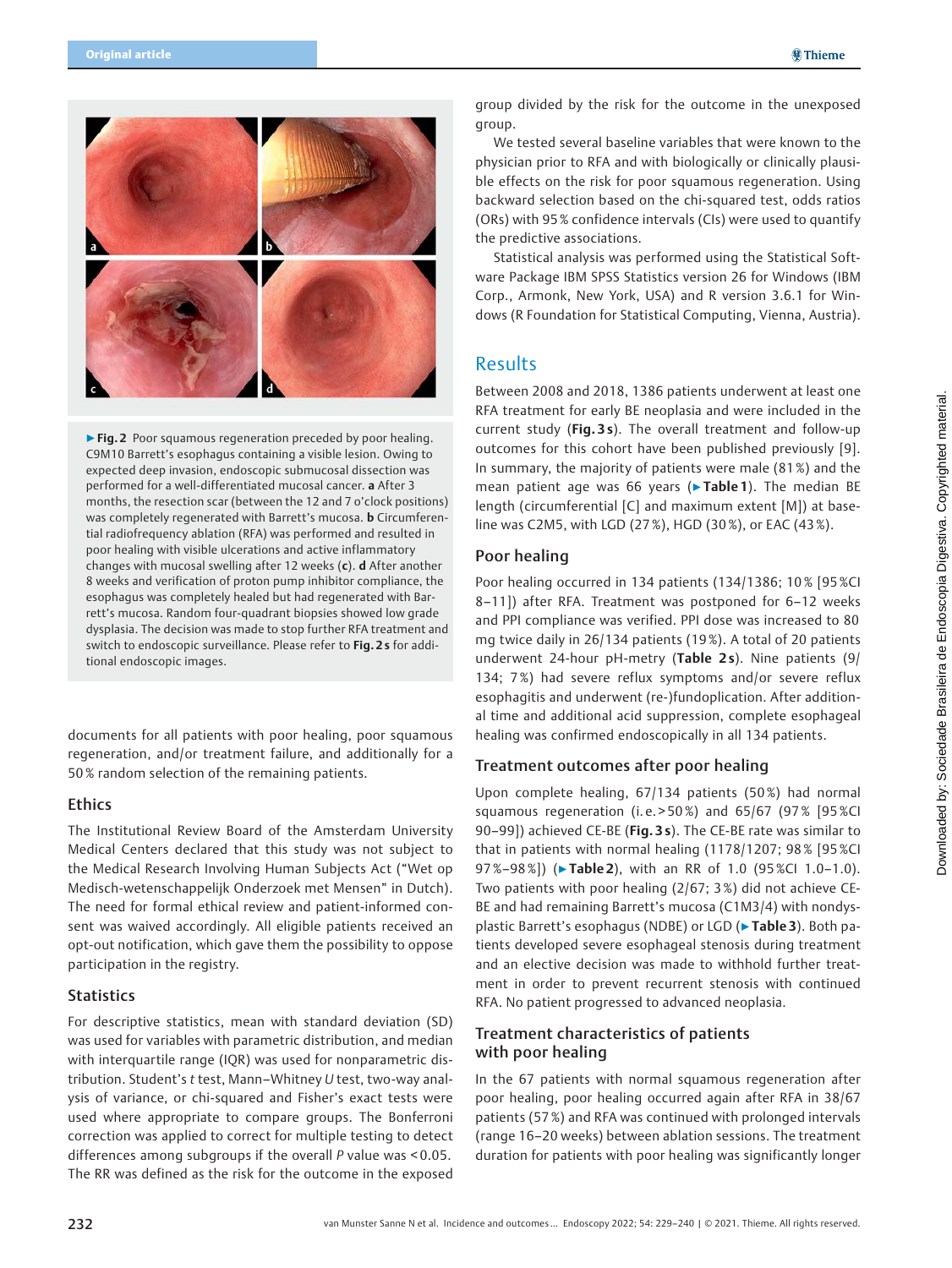

▶ Fig. 2 Poor squamous regeneration preceded by poor healing. C9M10 Barrett's esophagus containing a visible lesion. Owing to expected deep invasion, endoscopic submucosal dissection was performed for a well-differentiated mucosal cancer. a After 3 months, the resection scar (between the 12 and 7 o'clock positions) was completely regenerated with Barrett's mucosa. **b** Circumferential radiofrequency ablation (RFA) was performed and resulted in poor healing with visible ulcerations and active inflammatory changes with mucosal swelling after 12 weeks (c). d After another 8 weeks and verification of proton pump inhibitor compliance, the esophagus was completely healed but had regenerated with Barrett's mucosa. Random four-quadrant biopsies showed low grade dysplasia. The decision was made to stop further RFA treatment and switch to endoscopic surveillance. Please refer to Fig. 2s for additional endoscopic images.

documents for all patients with poor healing, poor squamous regeneration, and/or treatment failure, and additionally for a 50 % random selection of the remaining patients.

### **Ethics**

The Institutional Review Board of the Amsterdam University Medical Centers declared that this study was not subject to the Medical Research Involving Human Subjects Act ("Wet op Medisch-wetenschappelijk Onderzoek met Mensen" in Dutch). The need for formal ethical review and patient-informed consent was waived accordingly. All eligible patients received an opt-out notification, which gave them the possibility to oppose participation in the registry.

### **Statistics**

For descriptive statistics, mean with standard deviation (SD) was used for variables with parametric distribution, and median with interquartile range (IQR) was used for nonparametric distribution. Student's t test, Mann–Whitney U test, two-way analysis of variance, or chi-squared and Fisher's exact tests were used where appropriate to compare groups. The Bonferroni correction was applied to correct for multiple testing to detect differences among subgroups if the overall P value was < 0.05. The RR was defined as the risk for the outcome in the exposed

group divided by the risk for the outcome in the unexposed group.

We tested several baseline variables that were known to the physician prior to RFA and with biologically or clinically plausible effects on the risk for poor squamous regeneration. Using backward selection based on the chi-squared test, odds ratios (ORs) with 95 % confidence intervals (CIs) were used to quantify the predictive associations.

Statistical analysis was performed using the Statistical Software Package IBM SPSS Statistics version 26 for Windows (IBM Corp., Armonk, New York, USA) and R version 3.6.1 for Windows (R Foundation for Statistical Computing, Vienna, Austria).

# Results

Between 2008 and 2018, 1386 patients underwent at least one RFA treatment for early BE neoplasia and were included in the current study (Fig. 3s). The overall treatment and follow-up outcomes for this cohort have been published previously [9]. In summary, the majority of patients were male (81 %) and the mean patient age was 66 years (▶Table 1). The median BE length (circumferential [C] and maximum extent [M]) at baseline was C2M5, with LGD (27 %), HGD (30 %), or EAC (43 %).

### Poor healing

Poor healing occurred in 134 patients (134/1386; 10% [95%CI 8–11]) after RFA. Treatment was postponed for 6–12 weeks and PPI compliance was verified. PPI dose was increased to 80 mg twice daily in 26/134 patients (19 %). A total of 20 patients underwent 24-hour pH-metry (Table 2s). Nine patients (9/ 134; 7 %) had severe reflux symptoms and/or severe reflux esophagitis and underwent (re-)fundoplication. After additional time and additional acid suppression, complete esophageal healing was confirmed endoscopically in all 134 patients.

# Treatment outcomes after poor healing

Upon complete healing, 67/134 patients (50%) had normal squamous regeneration (i.e. > 50%) and  $65/67$  (97% [95%CI 90-99]) achieved CE-BE (Fig. 3s). The CE-BE rate was similar to that in patients with normal healing (1178/1207; 98 % [95 %CI 97%–98%]) (▶Table 2), with an RR of 1.0 (95%Cl 1.0–1.0). Two patients with poor healing (2/67; 3 %) did not achieve CE-BE and had remaining Barrett's mucosa (C1M3/4) with nondysplastic Barrett's esophagus (NDBE) or LGD (▶ Table 3). Both patients developed severe esophageal stenosis during treatment and an elective decision was made to withhold further treatment in order to prevent recurrent stenosis with continued RFA. No patient progressed to advanced neoplasia.

# Treatment characteristics of patients with poor healing

In the 67 patients with normal squamous regeneration after poor healing, poor healing occurred again after RFA in 38/67 patients (57 %) and RFA was continued with prolonged intervals (range 16–20 weeks) between ablation sessions. The treatment duration for patients with poor healing was significantly longer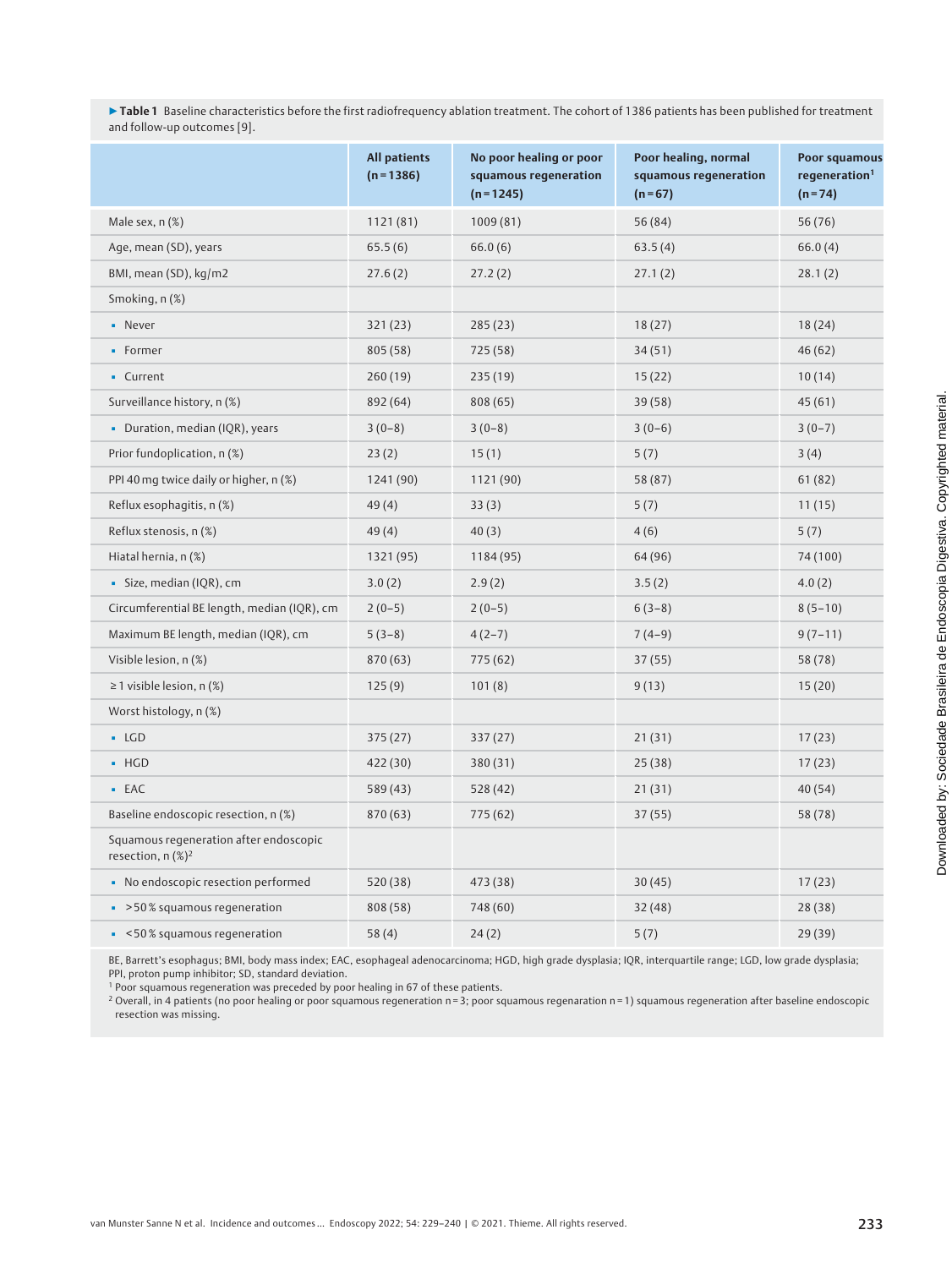▶Table 1 Baseline characteristics before the first radiofrequency ablation treatment. The cohort of 1386 patients has been published for treatment and follow-up outcomes [9].

|                                                                           | <b>All patients</b><br>$(n = 1386)$ | No poor healing or poor<br>squamous regeneration<br>$(n=1245)$ | Poor healing, normal<br>squamous regeneration<br>$(n=67)$ | <b>Poor squamous</b><br>regeneration <sup>1</sup><br>$(n=74)$ |
|---------------------------------------------------------------------------|-------------------------------------|----------------------------------------------------------------|-----------------------------------------------------------|---------------------------------------------------------------|
| Male sex, n (%)                                                           | 1121(81)                            | 1009(81)                                                       | 56 (84)                                                   | 56 (76)                                                       |
| Age, mean (SD), years                                                     | 65.5(6)                             | 66.0(6)                                                        | 63.5(4)                                                   | 66.0(4)                                                       |
| BMI, mean (SD), kg/m2                                                     | 27.6(2)                             | 27.2(2)                                                        | 27.1(2)                                                   | 28.1(2)                                                       |
| Smoking, n(%)                                                             |                                     |                                                                |                                                           |                                                               |
| - Never                                                                   | 321 (23)                            | 285(23)                                                        | 18(27)                                                    | 18(24)                                                        |
| • Former                                                                  | 805 (58)                            | 725 (58)                                                       | 34(51)                                                    | 46(62)                                                        |
| • Current                                                                 | 260(19)                             | 235(19)                                                        | 15(22)                                                    | 10(14)                                                        |
| Surveillance history, n (%)                                               | 892 (64)                            | 808 (65)                                                       | 39(58)                                                    | 45(61)                                                        |
| · Duration, median (IQR), years                                           | $3(0-8)$                            | $3(0-8)$                                                       | $3(0-6)$                                                  | $3(0-7)$                                                      |
| Prior fundoplication, n(%)                                                | 23(2)                               | 15(1)                                                          | 5(7)                                                      | 3(4)                                                          |
| PPI 40 mg twice daily or higher, n (%)                                    | 1241(90)                            | 1121(90)                                                       | 58 (87)                                                   | 61(82)                                                        |
| Reflux esophagitis, n (%)                                                 | 49(4)                               | 33(3)                                                          | 5(7)                                                      | 11(15)                                                        |
| Reflux stenosis, n (%)                                                    | 49(4)                               | 40(3)                                                          | 4(6)                                                      | 5(7)                                                          |
| Hiatal hernia, n (%)                                                      | 1321 (95)                           | 1184 (95)                                                      | 64 (96)                                                   | 74 (100)                                                      |
| · Size, median (IQR), cm                                                  | 3.0(2)                              | 2.9(2)                                                         | 3.5(2)                                                    | 4.0(2)                                                        |
| Circumferential BE length, median (IQR), cm                               | $2(0-5)$                            | $2(0-5)$                                                       | $6(3-8)$                                                  | $8(5-10)$                                                     |
| Maximum BE length, median (IQR), cm                                       | $5(3-8)$                            | $4(2-7)$                                                       | $7(4-9)$                                                  | $9(7-11)$                                                     |
| Visible lesion, n (%)                                                     | 870 (63)                            | 775 (62)                                                       | 37(55)                                                    | 58 (78)                                                       |
| $\geq$ 1 visible lesion, n (%)                                            | 125(9)                              | 101(8)                                                         | 9(13)                                                     | 15(20)                                                        |
| Worst histology, n (%)                                                    |                                     |                                                                |                                                           |                                                               |
| $-LGD$                                                                    | 375 (27)                            | 337(27)                                                        | 21(31)                                                    | 17(23)                                                        |
| $-HGD$                                                                    | 422 (30)                            | 380 (31)                                                       | 25(38)                                                    | 17(23)                                                        |
| $-EAC$                                                                    | 589 (43)                            | 528 (42)                                                       | 21(31)                                                    | 40(54)                                                        |
| Baseline endoscopic resection, n (%)                                      | 870 (63)                            | 775 (62)                                                       | 37(55)                                                    | 58 (78)                                                       |
| Squamous regeneration after endoscopic<br>resection, $n$ (%) <sup>2</sup> |                                     |                                                                |                                                           |                                                               |
| • No endoscopic resection performed                                       | 520 (38)                            | 473 (38)                                                       | 30(45)                                                    | 17(23)                                                        |
| $\approx$ >50% squamous regeneration                                      | 808 (58)                            | 748 (60)                                                       | 32(48)                                                    | 28 (38)                                                       |
| • < 50% squamous regeneration                                             | 58(4)                               | 24(2)                                                          | 5(7)                                                      | 29 (39)                                                       |

BE, Barrett's esophagus; BMI, body mass index; EAC, esophageal adenocarcinoma; HGD, high grade dysplasia; IQR, interquartile range; LGD, low grade dysplasia; PPI, proton pump inhibitor; SD, standard deviation.

<sup>1</sup> Poor squamous regeneration was preceded by poor healing in 67 of these patients.

<sup>2</sup> Overall, in 4 patients (no poor healing or poor squamous regeneration n = 3; poor squamous regenaration n = 1) squamous regeneration after baseline endoscopic resection was missing.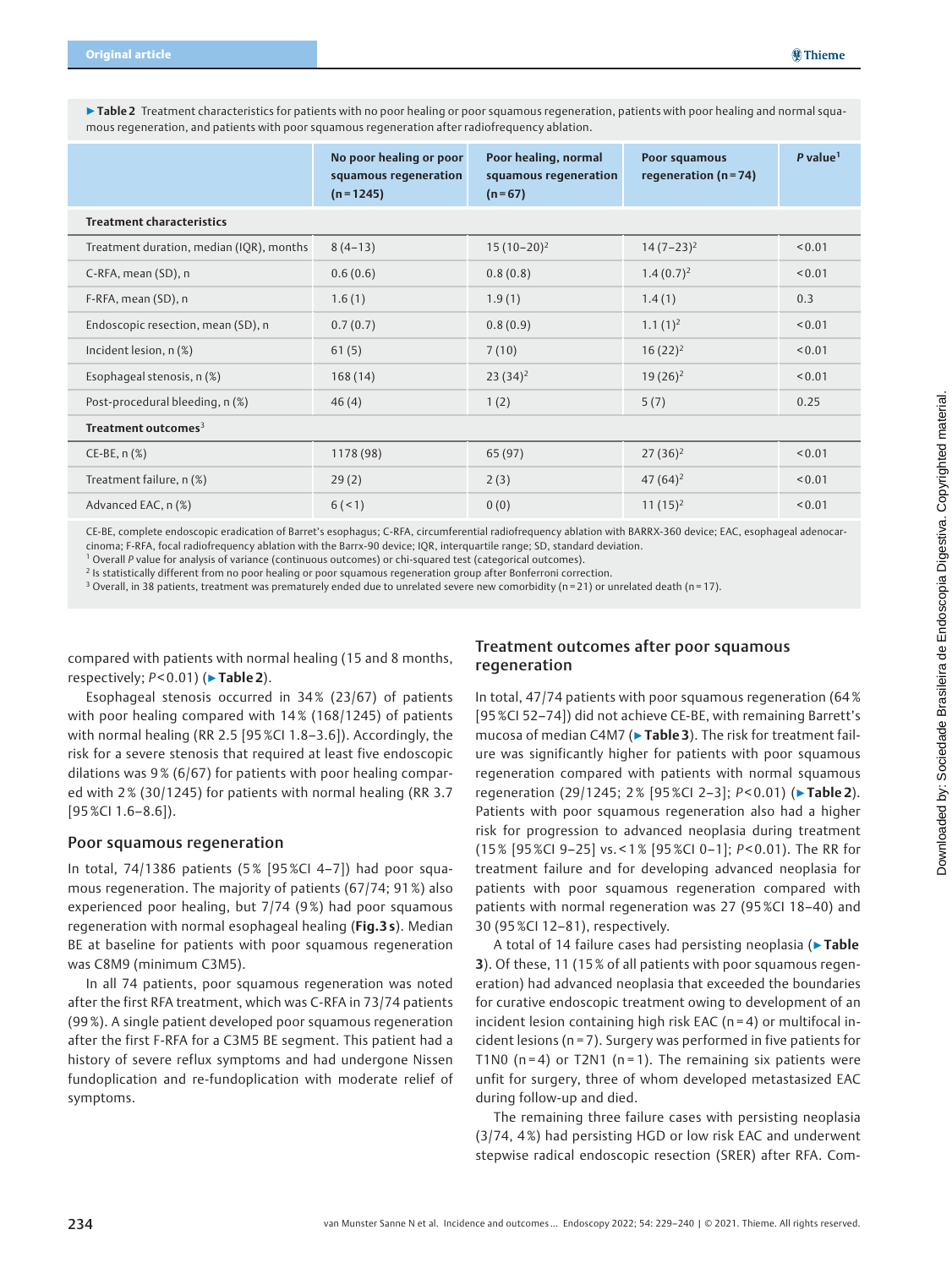▶Table 2 Treatment characteristics for patients with no poor healing or poor squamous regeneration, patients with poor healing and normal squamous regeneration, and patients with poor squamous regeneration after radiofrequency ablation.

|                                          | No poor healing or poor<br>squamous regeneration<br>$(n=1245)$ | Poor healing, normal<br>squamous regeneration<br>$(n=67)$ | Poor squamous<br>regeneration ( $n = 74$ ) | $P$ value <sup>1</sup> |
|------------------------------------------|----------------------------------------------------------------|-----------------------------------------------------------|--------------------------------------------|------------------------|
| <b>Treatment characteristics</b>         |                                                                |                                                           |                                            |                        |
| Treatment duration, median (IQR), months | $8(4-13)$                                                      | $15(10-20)^2$                                             | $14(7-23)^2$                               | < 0.01                 |
| C-RFA, mean (SD), n                      | 0.6(0.6)                                                       | 0.8(0.8)                                                  | $1.4(0.7)^2$                               | < 0.01                 |
| F-RFA, mean (SD), n                      | 1.6(1)                                                         | 1.9(1)                                                    | 1.4(1)                                     | 0.3                    |
| Endoscopic resection, mean (SD), n       | 0.7(0.7)                                                       | 0.8(0.9)                                                  | $1.1(1)^2$                                 | < 0.01                 |
| Incident lesion, n(%)                    | 61(5)                                                          | 7(10)                                                     | $16(22)^2$                                 | < 0.01                 |
| Esophageal stenosis, n (%)               | 168(14)                                                        | $23(34)^2$                                                | $19(26)^2$                                 | < 0.01                 |
| Post-procedural bleeding, n (%)          | 46(4)                                                          | 1(2)                                                      | 5(7)                                       | 0.25                   |
| Treatment outcomes <sup>3</sup>          |                                                                |                                                           |                                            |                        |
| $CE-BE, n(%)$                            | 1178 (98)                                                      | 65 (97)                                                   | $27(36)^2$                                 | < 0.01                 |
| Treatment failure, n (%)                 | 29(2)                                                          | 2(3)                                                      | 47 $(64)^2$                                | < 0.01                 |
| Advanced EAC, n (%)                      | 6(1)                                                           | 0(0)                                                      | $11(15)^2$                                 | < 0.01                 |

CE-BE, complete endoscopic eradication of Barret's esophagus; C-RFA, circumferential radiofrequency ablation with BARRX-360 device; EAC, esophageal adenocarcinoma; F-RFA, focal radiofrequency ablation with the Barrx-90 device; IQR, interquartile range; SD, standard deviation.

<sup>1</sup> Overall P value for analysis of variance (continuous outcomes) or chi-squared test (categorical outcomes).

<sup>2</sup> Is statistically different from no poor healing or poor squamous regeneration group after Bonferroni correction.

<sup>3</sup> Overall, in 38 patients, treatment was prematurely ended due to unrelated severe new comorbidity (n = 21) or unrelated death (n = 17).

compared with patients with normal healing (15 and 8 months, respectively;  $P < 0.01$ ) ( $\triangleright$  Table 2).

### Treatment outcomes after poor squamous regeneration

Esophageal stenosis occurred in 34% (23/67) of patients with poor healing compared with 14% (168/1245) of patients with normal healing (RR 2.5 [95 %CI 1.8–3.6]). Accordingly, the risk for a severe stenosis that required at least five endoscopic dilations was 9 % (6/67) for patients with poor healing compared with 2% (30/1245) for patients with normal healing (RR 3.7 [95%CI 1.6–8.6]).

### Poor squamous regeneration

In total, 74/1386 patients (5 % [95 %CI 4–7]) had poor squamous regeneration. The majority of patients (67/74; 91%) also experienced poor healing, but 7/74 (9%) had poor squamous regeneration with normal esophageal healing (Fig.3s). Median BE at baseline for patients with poor squamous regeneration was C8M9 (minimum C3M5).

In all 74 patients, poor squamous regeneration was noted after the first RFA treatment, which was C-RFA in 73/74 patients (99 %). A single patient developed poor squamous regeneration after the first F-RFA for a C3M5 BE segment. This patient had a history of severe reflux symptoms and had undergone Nissen fundoplication and re-fundoplication with moderate relief of symptoms.

In total, 47/74 patients with poor squamous regeneration (64 % [95%CI 52–74]) did not achieve CE-BE, with remaining Barrett's mucosa of median C4M7 (► Table 3). The risk for treatment failure was significantly higher for patients with poor squamous regeneration compared with patients with normal squamous regeneration (29/1245; 2% [95%Cl 2-3]; P<0.01) (▶Table 2). Patients with poor squamous regeneration also had a higher risk for progression to advanced neoplasia during treatment (15% [95%CI 9–25] vs. < 1% [95 %CI 0–1]; P < 0.01). The RR for treatment failure and for developing advanced neoplasia for patients with poor squamous regeneration compared with patients with normal regeneration was 27 (95 %CI 18–40) and 30 (95%CI 12–81), respectively.

A total of 14 failure cases had persisting neoplasia (▶Table 3). Of these, 11 (15% of all patients with poor squamous regeneration) had advanced neoplasia that exceeded the boundaries for curative endoscopic treatment owing to development of an incident lesion containing high risk EAC (n = 4) or multifocal incident lesions (n = 7). Surgery was performed in five patients for T1N0 ( $n = 4$ ) or T2N1 ( $n = 1$ ). The remaining six patients were unfit for surgery, three of whom developed metastasized EAC during follow-up and died.

The remaining three failure cases with persisting neoplasia (3/74, 4 %) had persisting HGD or low risk EAC and underwent stepwise radical endoscopic resection (SRER) after RFA. Com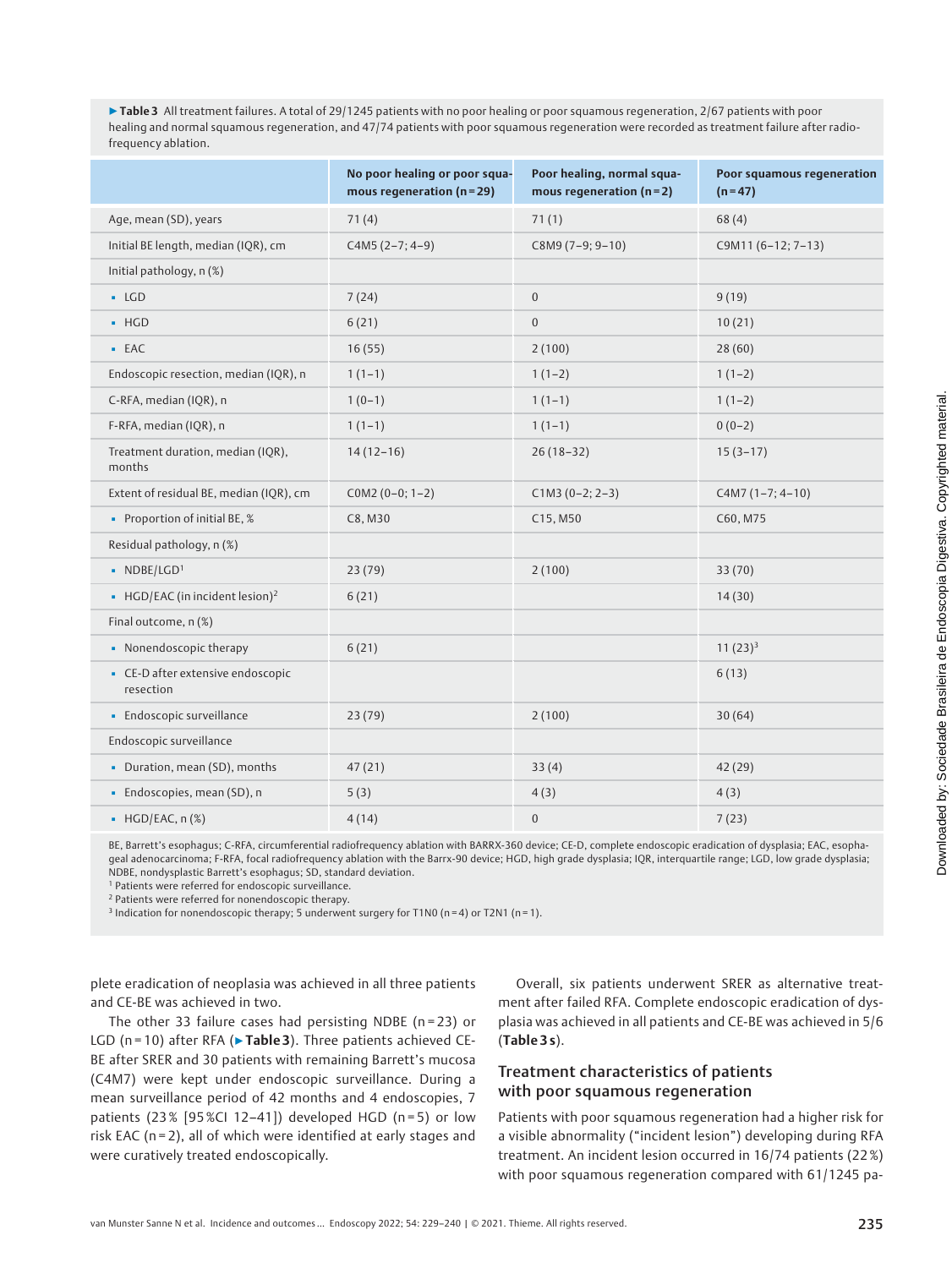▶Table 3 All treatment failures. A total of 29/1245 patients with no poor healing or poor squamous regeneration, 2/67 patients with poor healing and normal squamous regeneration, and 47/74 patients with poor squamous regeneration were recorded as treatment failure after radiofrequency ablation.

|                                                | No poor healing or poor squa-<br>mous regeneration ( $n = 29$ ) | Poor healing, normal squa-<br>mous regeneration ( $n = 2$ ) | Poor squamous regeneration<br>$(n=47)$ |
|------------------------------------------------|-----------------------------------------------------------------|-------------------------------------------------------------|----------------------------------------|
| Age, mean (SD), years                          | 71(4)                                                           | 71(1)                                                       | 68(4)                                  |
| Initial BE length, median (IQR), cm            | $C4M5(2-7; 4-9)$                                                | C8M9 (7-9; 9-10)                                            | C9M11 (6-12; 7-13)                     |
| Initial pathology, n (%)                       |                                                                 |                                                             |                                        |
| $-LGD$                                         | 7(24)                                                           | $\boldsymbol{0}$                                            | 9(19)                                  |
| $-HGD$                                         | 6(21)                                                           | $\boldsymbol{0}$                                            | 10(21)                                 |
| $-EAC$                                         | 16(55)                                                          | 2(100)                                                      | 28(60)                                 |
| Endoscopic resection, median (IQR), n          | $1(1-1)$                                                        | $1(1-2)$                                                    | $1(1-2)$                               |
| C-RFA, median (IQR), n                         | $1(0-1)$                                                        | $1(1-1)$                                                    | $1(1-2)$                               |
| F-RFA, median (IQR), n                         | $1(1-1)$                                                        | $1(1-1)$                                                    | $0(0-2)$                               |
| Treatment duration, median (IQR),<br>months    | $14(12-16)$                                                     | $26(18-32)$                                                 | $15(3-17)$                             |
| Extent of residual BE, median (IQR), cm        | $COM2 (0-0; 1-2)$                                               | $C1M3(0-2; 2-3)$                                            | $CAM7 (1-7; 4-10)$                     |
| • Proportion of initial BE, %                  | C8, M30                                                         | C15, M50                                                    | C60, M75                               |
| Residual pathology, n (%)                      |                                                                 |                                                             |                                        |
| $\blacksquare$ NDBE/LGD <sup>1</sup>           | 23(79)                                                          | 2(100)                                                      | 33(70)                                 |
| • HGD/EAC (in incident lesion) <sup>2</sup>    | 6(21)                                                           |                                                             | 14(30)                                 |
| Final outcome, n (%)                           |                                                                 |                                                             |                                        |
| • Nonendoscopic therapy                        | 6(21)                                                           |                                                             | $11(23)^3$                             |
| • CE-D after extensive endoscopic<br>resection |                                                                 |                                                             | 6(13)                                  |
| · Endoscopic surveillance                      | 23 (79)                                                         | 2(100)                                                      | 30(64)                                 |
| Endoscopic surveillance                        |                                                                 |                                                             |                                        |
| • Duration, mean (SD), months                  | 47(21)                                                          | 33(4)                                                       | 42 (29)                                |
| · Endoscopies, mean (SD), n                    | 5(3)                                                            | 4(3)                                                        | 4(3)                                   |
| $\bullet$ HGD/EAC, n $(\%)$                    | 4(14)                                                           | $\boldsymbol{0}$                                            | 7(23)                                  |

BE, Barrett's esophagus; C-RFA, circumferential radiofrequency ablation with BARRX-360 device; CE-D, complete endoscopic eradication of dysplasia; EAC, esophageal adenocarcinoma; F-RFA, focal radiofrequency ablation with the Barrx-90 device; HGD, high grade dysplasia; IQR, interquartile range; LGD, low grade dysplasia; NDBE, nondysplastic Barrett's esophagus; SD, standard deviation.

<sup>1</sup> Patients were referred for endoscopic surveillance.

<sup>2</sup> Patients were referred for nonendoscopic therapy.

<sup>3</sup> Indication for nonendoscopic therapy; 5 underwent surgery for T1N0 (n = 4) or T2N1 (n = 1).

plete eradication of neoplasia was achieved in all three patients and CE-BE was achieved in two.

The other 33 failure cases had persisting NDBE ( $n = 23$ ) or LGD ( $n = 10$ ) after RFA ( $\triangleright$  Table 3). Three patients achieved CE-BE after SRER and 30 patients with remaining Barrett's mucosa (C4M7) were kept under endoscopic surveillance. During a mean surveillance period of 42 months and 4 endoscopies, 7 patients (23% [95%CI 12-41]) developed HGD (n=5) or low risk EAC ( $n = 2$ ), all of which were identified at early stages and were curatively treated endoscopically.

Overall, six patients underwent SRER as alternative treatment after failed RFA. Complete endoscopic eradication of dysplasia was achieved in all patients and CE-BE was achieved in 5/6 (Table 3 s).

# Treatment characteristics of patients with poor squamous regeneration

Patients with poor squamous regeneration had a higher risk for a visible abnormality ("incident lesion") developing during RFA treatment. An incident lesion occurred in 16/74 patients (22 %) with poor squamous regeneration compared with 61/1245 pa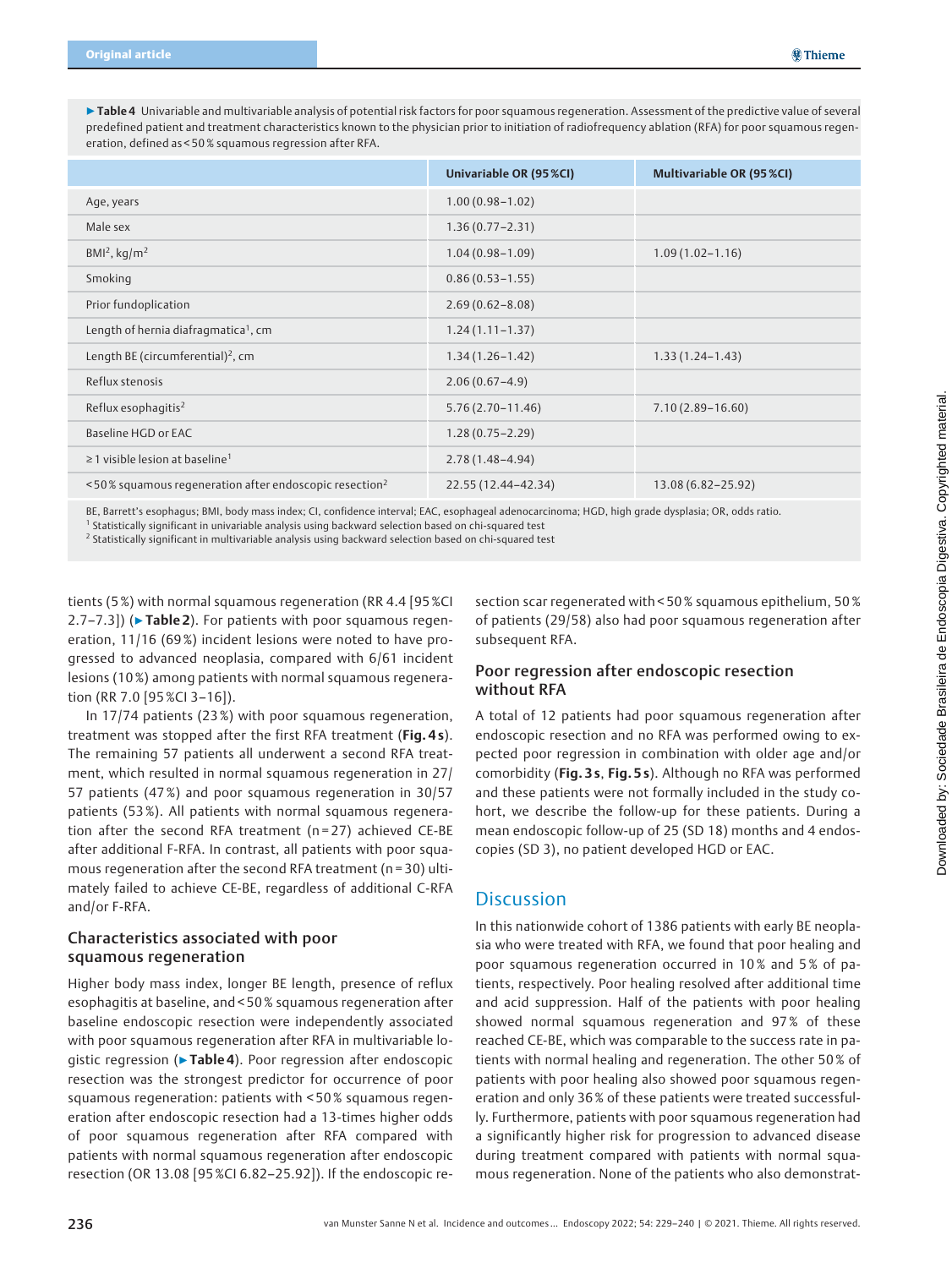▶Table 4 Univariable and multivariable analysis of potential risk factors for poor squamous regeneration. Assessment of the predictive value of several predefined patient and treatment characteristics known to the physician prior to initiation of radiofrequency ablation (RFA) for poor squamous regeneration, defined as < 50 % squamous regression after RFA.

|                                                                    | Univariable OR (95 %CI) | Multivariable OR (95 %CI) |
|--------------------------------------------------------------------|-------------------------|---------------------------|
| Age, years                                                         | $1.00(0.98 - 1.02)$     |                           |
| Male sex                                                           | $1.36(0.77 - 2.31)$     |                           |
| $BMI2$ , kg/m <sup>2</sup>                                         | $1.04(0.98 - 1.09)$     | $1.09(1.02 - 1.16)$       |
| Smoking                                                            | $0.86(0.53 - 1.55)$     |                           |
| Prior fundoplication                                               | $2.69(0.62 - 8.08)$     |                           |
| Length of hernia diafragmatica <sup>1</sup> , cm                   | $1.24(1.11 - 1.37)$     |                           |
| Length BE (circumferential) <sup>2</sup> , cm                      | $1.34(1.26 - 1.42)$     | $1.33(1.24 - 1.43)$       |
| Reflux stenosis                                                    | $2.06(0.67-4.9)$        |                           |
| Reflux esophagitis <sup>2</sup>                                    | $5.76(2.70 - 11.46)$    | $7.10(2.89 - 16.60)$      |
| Baseline HGD or EAC                                                | $1.28(0.75 - 2.29)$     |                           |
| $\geq$ 1 visible lesion at baseline <sup>1</sup>                   | $2.78(1.48 - 4.94)$     |                           |
| <50% squamous regeneration after endoscopic resection <sup>2</sup> | 22.55 (12.44-42.34)     | 13.08 (6.82-25.92)        |

BE, Barrett's esophagus; BMI, body mass index; CI, confidence interval; EAC, esophageal adenocarcinoma; HGD, high grade dysplasia; OR, odds ratio.

<sup>1</sup> Statistically significant in univariable analysis using backward selection based on chi-squared test

<sup>2</sup> Statistically significant in multivariable analysis using backward selection based on chi-squared test

tients (5 %) with normal squamous regeneration (RR 4.4 [95 %CI 2.7–7.3]) (► Table 2). For patients with poor squamous regeneration, 11/16 (69 %) incident lesions were noted to have progressed to advanced neoplasia, compared with 6/61 incident lesions (10 %) among patients with normal squamous regeneration (RR 7.0 [95%CI 3–16]).

In 17/74 patients (23 %) with poor squamous regeneration, treatment was stopped after the first RFA treatment (Fig. 4s). The remaining 57 patients all underwent a second RFA treatment, which resulted in normal squamous regeneration in 27/ 57 patients (47 %) and poor squamous regeneration in 30/57 patients (53%). All patients with normal squamous regeneration after the second RFA treatment (n = 27) achieved CE-BE after additional F-RFA. In contrast, all patients with poor squamous regeneration after the second RFA treatment ( $n = 30$ ) ultimately failed to achieve CE-BE, regardless of additional C-RFA and/or F-RFA.

### Characteristics associated with poor squamous regeneration

Higher body mass index, longer BE length, presence of reflux esophagitis at baseline, and < 50 % squamous regeneration after baseline endoscopic resection were independently associated with poor squamous regeneration after RFA in multivariable logistic regression (▶Table 4). Poor regression after endoscopic resection was the strongest predictor for occurrence of poor squamous regeneration: patients with < 50% squamous regeneration after endoscopic resection had a 13-times higher odds of poor squamous regeneration after RFA compared with patients with normal squamous regeneration after endoscopic resection (OR 13.08 [95%CI 6.82–25.92]). If the endoscopic resection scar regenerated with < 50 % squamous epithelium, 50 % of patients (29/58) also had poor squamous regeneration after subsequent RFA.

# Poor regression after endoscopic resection without RFA

A total of 12 patients had poor squamous regeneration after endoscopic resection and no RFA was performed owing to expected poor regression in combination with older age and/or comorbidity (Fig. 3 s, Fig. 5 s). Although no RFA was performed and these patients were not formally included in the study cohort, we describe the follow-up for these patients. During a mean endoscopic follow-up of 25 (SD 18) months and 4 endoscopies (SD 3), no patient developed HGD or EAC.

# **Discussion**

In this nationwide cohort of 1386 patients with early BE neoplasia who were treated with RFA, we found that poor healing and poor squamous regeneration occurred in 10 % and 5 % of patients, respectively. Poor healing resolved after additional time and acid suppression. Half of the patients with poor healing showed normal squamous regeneration and 97% of these reached CE-BE, which was comparable to the success rate in patients with normal healing and regeneration. The other 50 % of patients with poor healing also showed poor squamous regeneration and only 36 % of these patients were treated successfully. Furthermore, patients with poor squamous regeneration had a significantly higher risk for progression to advanced disease during treatment compared with patients with normal squamous regeneration. None of the patients who also demonstrat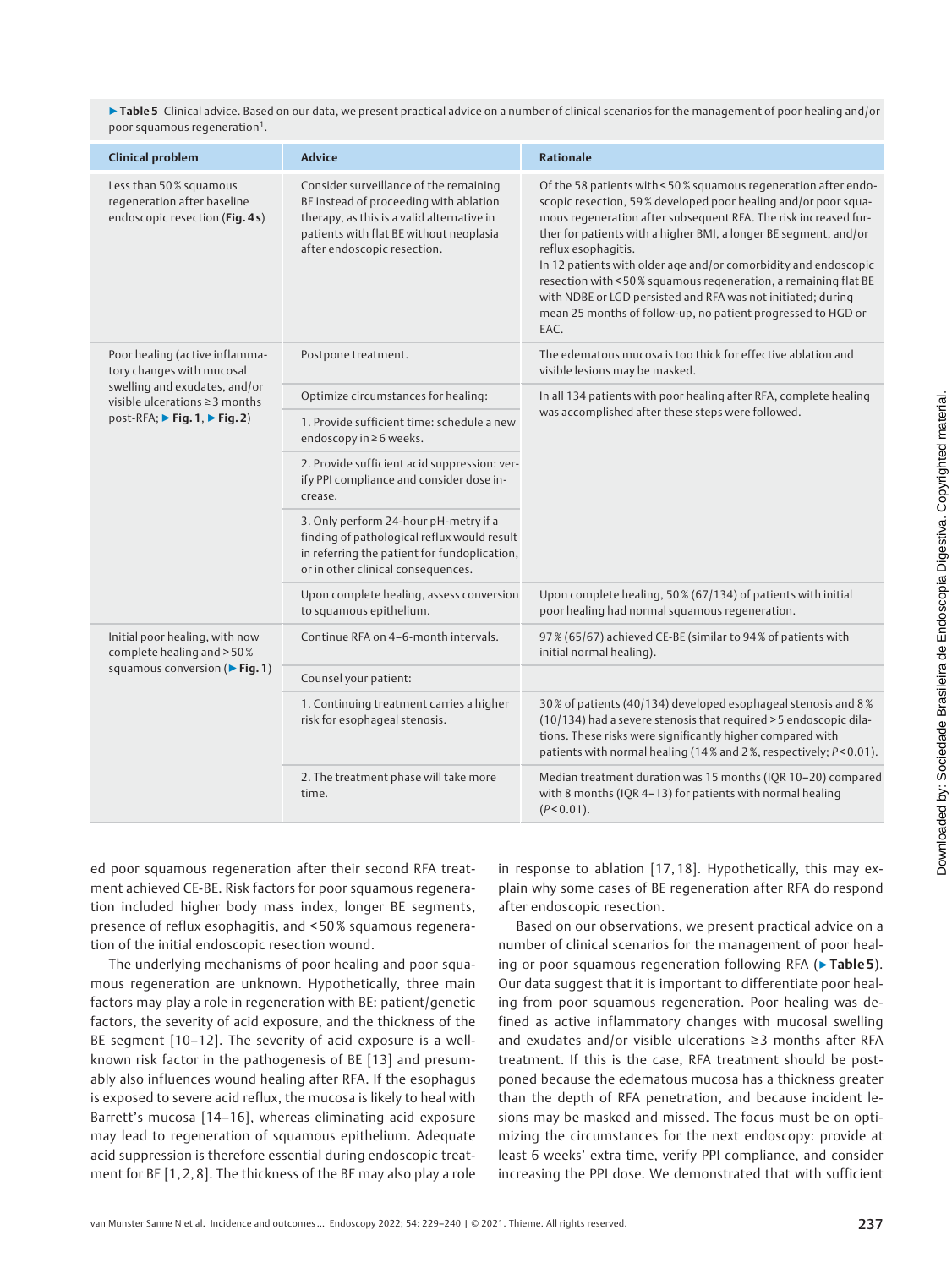▶ Table 5 Clinical advice. Based on our data, we present practical advice on a number of clinical scenarios for the management of poor healing and/or poor squamous regeneration<sup>1</sup>.

| <b>Clinical problem</b>                                                                                                             | <b>Advice</b>                                                                                                                                                                                            | <b>Rationale</b>                                                                                                                                                                                                                                                                                                                                                                                                                                                                                                                                                              |
|-------------------------------------------------------------------------------------------------------------------------------------|----------------------------------------------------------------------------------------------------------------------------------------------------------------------------------------------------------|-------------------------------------------------------------------------------------------------------------------------------------------------------------------------------------------------------------------------------------------------------------------------------------------------------------------------------------------------------------------------------------------------------------------------------------------------------------------------------------------------------------------------------------------------------------------------------|
| Less than 50% squamous<br>regeneration after baseline<br>endoscopic resection (Fig. 4s)                                             | Consider surveillance of the remaining<br>BE instead of proceeding with ablation<br>therapy, as this is a valid alternative in<br>patients with flat BE without neoplasia<br>after endoscopic resection. | Of the 58 patients with < 50% squamous regeneration after endo-<br>scopic resection, 59% developed poor healing and/or poor squa-<br>mous regeneration after subsequent RFA. The risk increased fur-<br>ther for patients with a higher BMI, a longer BE segment, and/or<br>reflux esophagitis.<br>In 12 patients with older age and/or comorbidity and endoscopic<br>resection with < 50% squamous regeneration, a remaining flat BE<br>with NDBE or LGD persisted and RFA was not initiated; during<br>mean 25 months of follow-up, no patient progressed to HGD or<br>EAC. |
| Poor healing (active inflamma-<br>tory changes with mucosal                                                                         | Postpone treatment.                                                                                                                                                                                      | The edematous mucosa is too thick for effective ablation and<br>visible lesions may be masked.                                                                                                                                                                                                                                                                                                                                                                                                                                                                                |
| swelling and exudates, and/or<br>visible ulcerations $\geq$ 3 months<br>post-RFA; $\triangleright$ Fig. 1, $\triangleright$ Fig. 2) | Optimize circumstances for healing:                                                                                                                                                                      | In all 134 patients with poor healing after RFA, complete healing                                                                                                                                                                                                                                                                                                                                                                                                                                                                                                             |
|                                                                                                                                     | 1. Provide sufficient time: schedule a new<br>endoscopy in ≥6 weeks.                                                                                                                                     | was accomplished after these steps were followed.                                                                                                                                                                                                                                                                                                                                                                                                                                                                                                                             |
|                                                                                                                                     | 2. Provide sufficient acid suppression: ver-<br>ify PPI compliance and consider dose in-<br>crease.                                                                                                      |                                                                                                                                                                                                                                                                                                                                                                                                                                                                                                                                                                               |
|                                                                                                                                     | 3. Only perform 24-hour pH-metry if a<br>finding of pathological reflux would result<br>in referring the patient for fundoplication,<br>or in other clinical consequences.                               |                                                                                                                                                                                                                                                                                                                                                                                                                                                                                                                                                                               |
|                                                                                                                                     | Upon complete healing, assess conversion<br>to squamous epithelium.                                                                                                                                      | Upon complete healing, 50% (67/134) of patients with initial<br>poor healing had normal squamous regeneration.                                                                                                                                                                                                                                                                                                                                                                                                                                                                |
| Initial poor healing, with now<br>complete healing and > 50%<br>squamous conversion (Fig. 1)                                        | Continue RFA on 4-6-month intervals.                                                                                                                                                                     | 97% (65/67) achieved CE-BE (similar to 94% of patients with<br>initial normal healing).                                                                                                                                                                                                                                                                                                                                                                                                                                                                                       |
|                                                                                                                                     | Counsel your patient:                                                                                                                                                                                    |                                                                                                                                                                                                                                                                                                                                                                                                                                                                                                                                                                               |
|                                                                                                                                     | 1. Continuing treatment carries a higher<br>risk for esophageal stenosis.                                                                                                                                | 30% of patients (40/134) developed esophageal stenosis and 8%<br>(10/134) had a severe stenosis that required > 5 endoscopic dila-<br>tions. These risks were significantly higher compared with<br>patients with normal healing (14% and 2%, respectively; P<0.01).                                                                                                                                                                                                                                                                                                          |
|                                                                                                                                     | 2. The treatment phase will take more<br>time.                                                                                                                                                           | Median treatment duration was 15 months (IQR 10-20) compared<br>with 8 months (IQR 4-13) for patients with normal healing<br>$(P < 0.01)$ .                                                                                                                                                                                                                                                                                                                                                                                                                                   |

ed poor squamous regeneration after their second RFA treatment achieved CE-BE. Risk factors for poor squamous regeneration included higher body mass index, longer BE segments, presence of reflux esophagitis, and < 50 % squamous regeneration of the initial endoscopic resection wound.

The underlying mechanisms of poor healing and poor squamous regeneration are unknown. Hypothetically, three main factors may play a role in regeneration with BE: patient/genetic factors, the severity of acid exposure, and the thickness of the BE segment [10–12]. The severity of acid exposure is a wellknown risk factor in the pathogenesis of BE [13] and presumably also influences wound healing after RFA. If the esophagus is exposed to severe acid reflux, the mucosa is likely to heal with Barrett's mucosa [14–16], whereas eliminating acid exposure may lead to regeneration of squamous epithelium. Adequate acid suppression is therefore essential during endoscopic treatment for BE [1, 2, 8]. The thickness of the BE may also play a role in response to ablation [17, 18]. Hypothetically, this may explain why some cases of BE regeneration after RFA do respond after endoscopic resection.

Based on our observations, we present practical advice on a number of clinical scenarios for the management of poor healing or poor squamous regeneration following RFA (▶Table 5). Our data suggest that it is important to differentiate poor healing from poor squamous regeneration. Poor healing was defined as active inflammatory changes with mucosal swelling and exudates and/or visible ulcerations ≥ 3 months after RFA treatment. If this is the case, RFA treatment should be postponed because the edematous mucosa has a thickness greater than the depth of RFA penetration, and because incident lesions may be masked and missed. The focus must be on optimizing the circumstances for the next endoscopy: provide at least 6 weeks' extra time, verify PPI compliance, and consider increasing the PPI dose. We demonstrated that with sufficient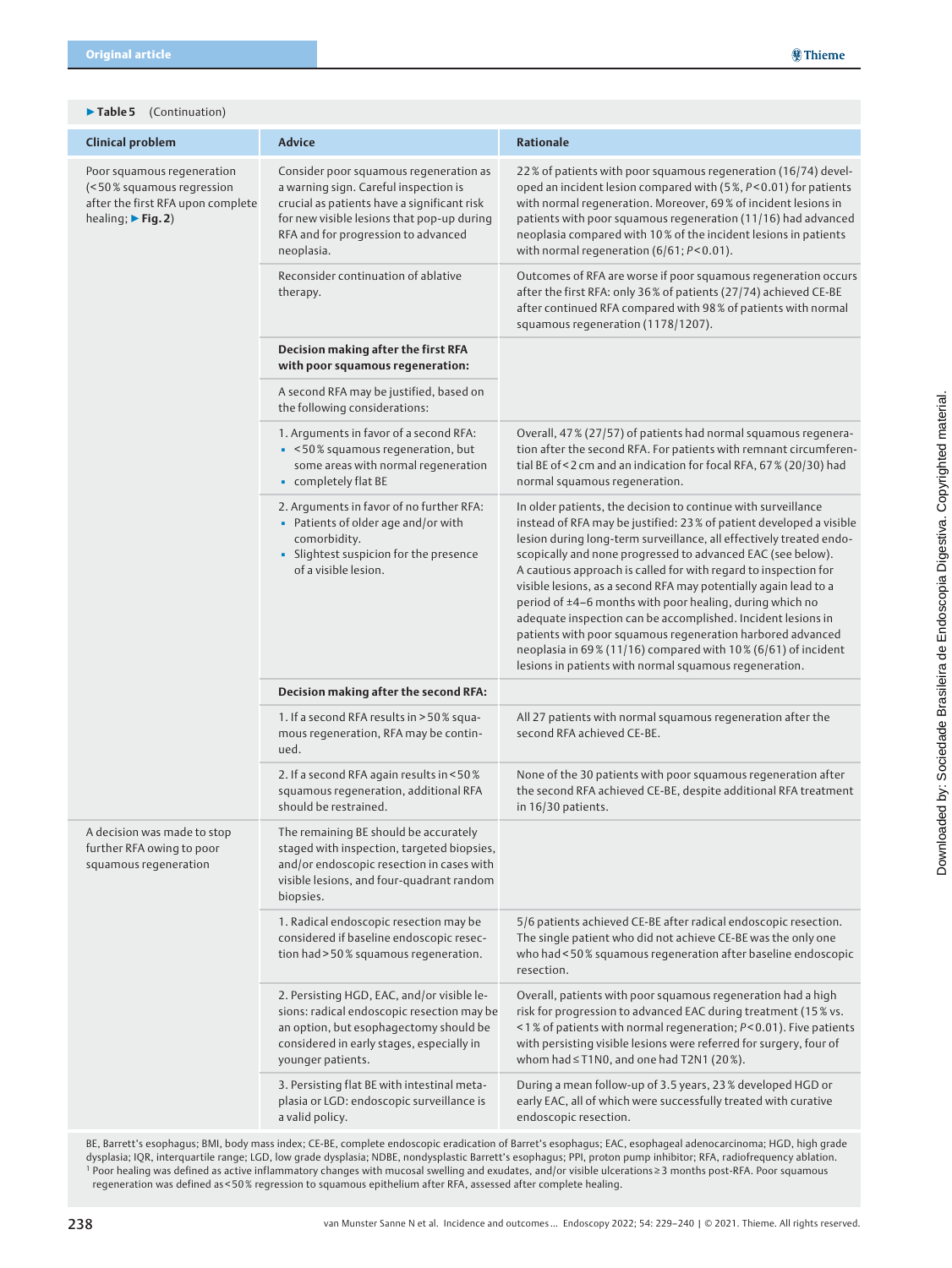### ▶ Table 5 (Continuation)

| <b>Clinical problem</b>                                                                                                           | <b>Advice</b>                                                                                                                                                                                                                     | <b>Rationale</b>                                                                                                                                                                                                                                                                                                                                                                                                                                                                                                                                                                                                                                                                                                                       |
|-----------------------------------------------------------------------------------------------------------------------------------|-----------------------------------------------------------------------------------------------------------------------------------------------------------------------------------------------------------------------------------|----------------------------------------------------------------------------------------------------------------------------------------------------------------------------------------------------------------------------------------------------------------------------------------------------------------------------------------------------------------------------------------------------------------------------------------------------------------------------------------------------------------------------------------------------------------------------------------------------------------------------------------------------------------------------------------------------------------------------------------|
| Poor squamous regeneration<br>(<50% squamous regression<br>after the first RFA upon complete<br>healing; $\triangleright$ Fig. 2) | Consider poor squamous regeneration as<br>a warning sign. Careful inspection is<br>crucial as patients have a significant risk<br>for new visible lesions that pop-up during<br>RFA and for progression to advanced<br>neoplasia. | 22% of patients with poor squamous regeneration (16/74) devel-<br>oped an incident lesion compared with (5%, P<0.01) for patients<br>with normal regeneration. Moreover, 69% of incident lesions in<br>patients with poor squamous regeneration (11/16) had advanced<br>neoplasia compared with 10% of the incident lesions in patients<br>with normal regeneration $(6/61; P< 0.01)$ .                                                                                                                                                                                                                                                                                                                                                |
|                                                                                                                                   | Reconsider continuation of ablative<br>therapy.                                                                                                                                                                                   | Outcomes of RFA are worse if poor squamous regeneration occurs<br>after the first RFA: only 36% of patients (27/74) achieved CE-BE<br>after continued RFA compared with 98% of patients with normal<br>squamous regeneration (1178/1207).                                                                                                                                                                                                                                                                                                                                                                                                                                                                                              |
|                                                                                                                                   | Decision making after the first RFA<br>with poor squamous regeneration:                                                                                                                                                           |                                                                                                                                                                                                                                                                                                                                                                                                                                                                                                                                                                                                                                                                                                                                        |
|                                                                                                                                   | A second RFA may be justified, based on<br>the following considerations:                                                                                                                                                          |                                                                                                                                                                                                                                                                                                                                                                                                                                                                                                                                                                                                                                                                                                                                        |
|                                                                                                                                   | 1. Arguments in favor of a second RFA:<br>· < 50% squamous regeneration, but<br>some areas with normal regeneration<br>• completely flat BE                                                                                       | Overall, 47 % (27/57) of patients had normal squamous regenera-<br>tion after the second RFA. For patients with remnant circumferen-<br>tial BE of < 2 cm and an indication for focal RFA, 67% (20/30) had<br>normal squamous regeneration.                                                                                                                                                                                                                                                                                                                                                                                                                                                                                            |
|                                                                                                                                   | 2. Arguments in favor of no further RFA:<br>• Patients of older age and/or with<br>comorbidity.<br>• Slightest suspicion for the presence<br>of a visible lesion.                                                                 | In older patients, the decision to continue with surveillance<br>instead of RFA may be justified: 23% of patient developed a visible<br>lesion during long-term surveillance, all effectively treated endo-<br>scopically and none progressed to advanced EAC (see below).<br>A cautious approach is called for with regard to inspection for<br>visible lesions, as a second RFA may potentially again lead to a<br>period of ±4-6 months with poor healing, during which no<br>adequate inspection can be accomplished. Incident lesions in<br>patients with poor squamous regeneration harbored advanced<br>neoplasia in 69% (11/16) compared with 10% (6/61) of incident<br>lesions in patients with normal squamous regeneration. |
|                                                                                                                                   | Decision making after the second RFA:                                                                                                                                                                                             |                                                                                                                                                                                                                                                                                                                                                                                                                                                                                                                                                                                                                                                                                                                                        |
|                                                                                                                                   | 1. If a second RFA results in > 50% squa-<br>mous regeneration, RFA may be contin-<br>ued.                                                                                                                                        | All 27 patients with normal squamous regeneration after the<br>second RFA achieved CE-BE.                                                                                                                                                                                                                                                                                                                                                                                                                                                                                                                                                                                                                                              |
|                                                                                                                                   | 2. If a second RFA again results in < 50%<br>squamous regeneration, additional RFA<br>should be restrained.                                                                                                                       | None of the 30 patients with poor squamous regeneration after<br>the second RFA achieved CE-BE, despite additional RFA treatment<br>in 16/30 patients.                                                                                                                                                                                                                                                                                                                                                                                                                                                                                                                                                                                 |
| A decision was made to stop<br>further RFA owing to poor<br>squamous regeneration                                                 | The remaining BE should be accurately<br>staged with inspection, targeted biopsies,<br>and/or endoscopic resection in cases with<br>visible lesions, and four-quadrant random<br>biopsies.                                        |                                                                                                                                                                                                                                                                                                                                                                                                                                                                                                                                                                                                                                                                                                                                        |
|                                                                                                                                   | 1. Radical endoscopic resection may be<br>considered if baseline endoscopic resec-<br>tion had > 50% squamous regeneration.                                                                                                       | 5/6 patients achieved CE-BE after radical endoscopic resection.<br>The single patient who did not achieve CE-BE was the only one<br>who had < 50 % squamous regeneration after baseline endoscopic<br>resection.                                                                                                                                                                                                                                                                                                                                                                                                                                                                                                                       |
|                                                                                                                                   | 2. Persisting HGD, EAC, and/or visible le-<br>sions: radical endoscopic resection may be<br>an option, but esophagectomy should be<br>considered in early stages, especially in<br>younger patients.                              | Overall, patients with poor squamous regeneration had a high<br>risk for progression to advanced EAC during treatment (15% vs.<br><1% of patients with normal regeneration; P<0.01). Five patients<br>with persisting visible lesions were referred for surgery, four of<br>whom had $\leq$ T1N0, and one had T2N1 (20%).                                                                                                                                                                                                                                                                                                                                                                                                              |
|                                                                                                                                   | 3. Persisting flat BE with intestinal meta-<br>plasia or LGD: endoscopic surveillance is<br>a valid policy.                                                                                                                       | During a mean follow-up of 3.5 years, 23% developed HGD or<br>early EAC, all of which were successfully treated with curative<br>endoscopic resection.                                                                                                                                                                                                                                                                                                                                                                                                                                                                                                                                                                                 |

BE, Barrett's esophagus; BMI, body mass index; CE-BE, complete endoscopic eradication of Barret's esophagus; EAC, esophageal adenocarcinoma; HGD, high grade dysplasia; IQR, interquartile range; LGD, low grade dysplasia; NDBE, nondysplastic Barrett's esophagus; PPI, proton pump inhibitor; RFA, radiofrequency ablation. <sup>1</sup> Poor healing was defined as active inflammatory changes with mucosal swelling and exudates, and/or visible ulcerations ≥ 3 months post-RFA. Poor squamous regeneration was defined as < 50 % regression to squamous epithelium after RFA, assessed after complete healing.

Downloaded by: Sociedade Brasileira de Endoscopia Digestiva. Copyrighted material.

Downloaded by: Sociedade Brasileira de Endoscopia Digestiva. Copyrighted material.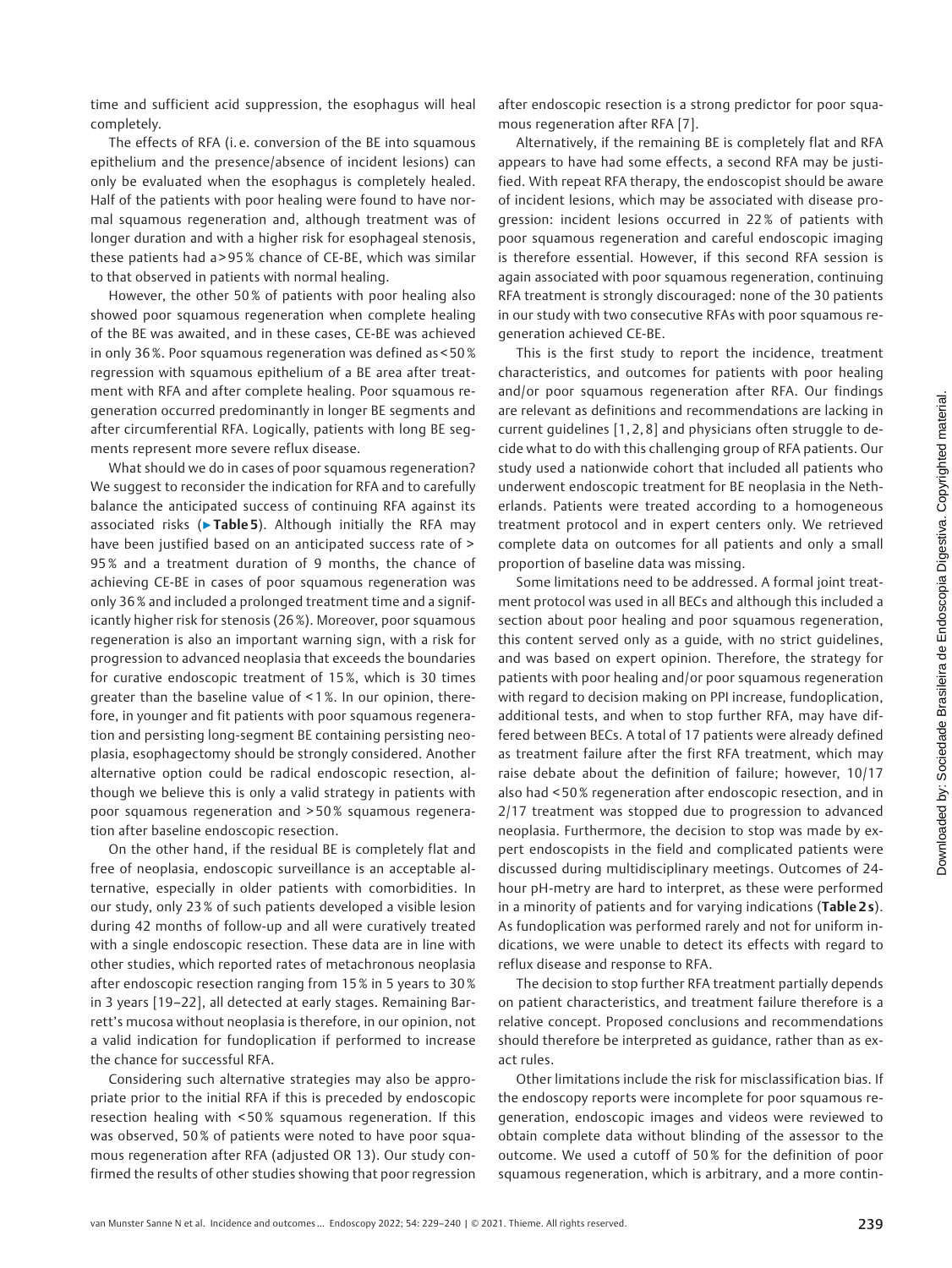time and sufficient acid suppression, the esophagus will heal completely.

The effects of RFA (i. e. conversion of the BE into squamous epithelium and the presence/absence of incident lesions) can only be evaluated when the esophagus is completely healed. Half of the patients with poor healing were found to have normal squamous regeneration and, although treatment was of longer duration and with a higher risk for esophageal stenosis, these patients had a > 95 % chance of CE-BE, which was similar to that observed in patients with normal healing.

However, the other 50 % of patients with poor healing also showed poor squamous regeneration when complete healing of the BE was awaited, and in these cases, CE-BE was achieved in only 36 %. Poor squamous regeneration was defined as < 50 % regression with squamous epithelium of a BE area after treatment with RFA and after complete healing. Poor squamous regeneration occurred predominantly in longer BE segments and after circumferential RFA. Logically, patients with long BE segments represent more severe reflux disease.

What should we do in cases of poor squamous regeneration? We suggest to reconsider the indication for RFA and to carefully balance the anticipated success of continuing RFA against its associated risks ( $\triangleright$  Table 5). Although initially the RFA may have been justified based on an anticipated success rate of > 95 % and a treatment duration of 9 months, the chance of achieving CE-BE in cases of poor squamous regeneration was only 36 % and included a prolonged treatment time and a significantly higher risk for stenosis (26 %). Moreover, poor squamous regeneration is also an important warning sign, with a risk for progression to advanced neoplasia that exceeds the boundaries for curative endoscopic treatment of 15 %, which is 30 times greater than the baseline value of < 1 %. In our opinion, therefore, in younger and fit patients with poor squamous regeneration and persisting long-segment BE containing persisting neoplasia, esophagectomy should be strongly considered. Another alternative option could be radical endoscopic resection, although we believe this is only a valid strategy in patients with poor squamous regeneration and > 50% squamous regeneration after baseline endoscopic resection.

On the other hand, if the residual BE is completely flat and free of neoplasia, endoscopic surveillance is an acceptable alternative, especially in older patients with comorbidities. In our study, only 23 % of such patients developed a visible lesion during 42 months of follow-up and all were curatively treated with a single endoscopic resection. These data are in line with other studies, which reported rates of metachronous neoplasia after endoscopic resection ranging from 15 % in 5 years to 30 % in 3 years [19–22], all detected at early stages. Remaining Barrett's mucosa without neoplasia is therefore, in our opinion, not a valid indication for fundoplication if performed to increase the chance for successful RFA.

Considering such alternative strategies may also be appropriate prior to the initial RFA if this is preceded by endoscopic resection healing with < 50 % squamous regeneration. If this was observed, 50% of patients were noted to have poor squamous regeneration after RFA (adjusted OR 13). Our study confirmed the results of other studies showing that poor regression

after endoscopic resection is a strong predictor for poor squamous regeneration after RFA [7].

Alternatively, if the remaining BE is completely flat and RFA appears to have had some effects, a second RFA may be justified. With repeat RFA therapy, the endoscopist should be aware of incident lesions, which may be associated with disease progression: incident lesions occurred in 22 % of patients with poor squamous regeneration and careful endoscopic imaging is therefore essential. However, if this second RFA session is again associated with poor squamous regeneration, continuing RFA treatment is strongly discouraged: none of the 30 patients in our study with two consecutive RFAs with poor squamous regeneration achieved CE-BE.

This is the first study to report the incidence, treatment characteristics, and outcomes for patients with poor healing and/or poor squamous regeneration after RFA. Our findings are relevant as definitions and recommendations are lacking in current guidelines [1, 2, 8] and physicians often struggle to decide what to do with this challenging group of RFA patients. Our study used a nationwide cohort that included all patients who underwent endoscopic treatment for BE neoplasia in the Netherlands. Patients were treated according to a homogeneous treatment protocol and in expert centers only. We retrieved complete data on outcomes for all patients and only a small proportion of baseline data was missing.

Some limitations need to be addressed. A formal joint treatment protocol was used in all BECs and although this included a section about poor healing and poor squamous regeneration, this content served only as a guide, with no strict guidelines, and was based on expert opinion. Therefore, the strategy for patients with poor healing and/or poor squamous regeneration with regard to decision making on PPI increase, fundoplication, additional tests, and when to stop further RFA, may have differed between BECs. A total of 17 patients were already defined as treatment failure after the first RFA treatment, which may raise debate about the definition of failure; however, 10/17 also had < 50 % regeneration after endoscopic resection, and in 2/17 treatment was stopped due to progression to advanced neoplasia. Furthermore, the decision to stop was made by expert endoscopists in the field and complicated patients were discussed during multidisciplinary meetings. Outcomes of 24 hour pH-metry are hard to interpret, as these were performed in a minority of patients and for varying indications (Table 2s). As fundoplication was performed rarely and not for uniform indications, we were unable to detect its effects with regard to reflux disease and response to RFA.

The decision to stop further RFA treatment partially depends on patient characteristics, and treatment failure therefore is a relative concept. Proposed conclusions and recommendations should therefore be interpreted as guidance, rather than as exact rules.

Other limitations include the risk for misclassification bias. If the endoscopy reports were incomplete for poor squamous regeneration, endoscopic images and videos were reviewed to obtain complete data without blinding of the assessor to the outcome. We used a cutoff of 50 % for the definition of poor squamous regeneration, which is arbitrary, and a more contin